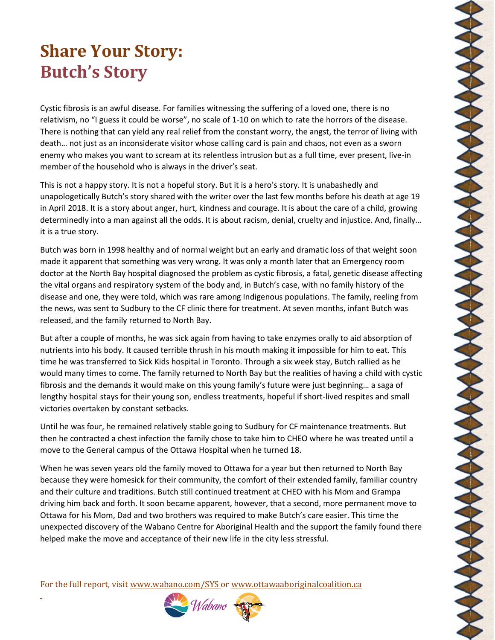## **Share Your Story: Butch's Story**

Cystic fibrosis is an awful disease. For families witnessing the suffering of a loved one, there is no relativism, no "I guess it could be worse", no scale of 1-10 on which to rate the horrors of the disease. There is nothing that can yield any real relief from the constant worry, the angst, the terror of living with death… not just as an inconsiderate visitor whose calling card is pain and chaos, not even as a sworn enemy who makes you want to scream at its relentless intrusion but as a full time, ever present, live-in member of the household who is always in the driver's seat.

This is not a happy story. It is not a hopeful story. But it is a hero's story. It is unabashedly and unapologetically Butch's story shared with the writer over the last few months before his death at age 19 in April 2018. It is a story about anger, hurt, kindness and courage. It is about the care of a child, growing determinedly into a man against all the odds. It is about racism, denial, cruelty and injustice. And, finally… it is a true story.

Butch was born in 1998 healthy and of normal weight but an early and dramatic loss of that weight soon made it apparent that something was very wrong. It was only a month later that an Emergency room doctor at the North Bay hospital diagnosed the problem as cystic fibrosis, a fatal, genetic disease affecting the vital organs and respiratory system of the body and, in Butch's case, with no family history of the disease and one, they were told, which was rare among Indigenous populations. The family, reeling from the news, was sent to Sudbury to the CF clinic there for treatment. At seven months, infant Butch was released, and the family returned to North Bay.

But after a couple of months, he was sick again from having to take enzymes orally to aid absorption of nutrients into his body. It caused terrible thrush in his mouth making it impossible for him to eat. This time he was transferred to Sick Kids hospital in Toronto. Through a six week stay, Butch rallied as he would many times to come. The family returned to North Bay but the realities of having a child with cystic fibrosis and the demands it would make on this young family's future were just beginning… a saga of lengthy hospital stays for their young son, endless treatments, hopeful if short-lived respites and small victories overtaken by constant setbacks.

**MANAMANA MANAMANA MANAMANA MANAMAN** 

Until he was four, he remained relatively stable going to Sudbury for CF maintenance treatments. But then he contracted a chest infection the family chose to take him to CHEO where he was treated until a move to the General campus of the Ottawa Hospital when he turned 18.

When he was seven years old the family moved to Ottawa for a year but then returned to North Bay because they were homesick for their community, the comfort of their extended family, familiar country and their culture and traditions. Butch still continued treatment at CHEO with his Mom and Grampa driving him back and forth. It soon became apparent, however, that a second, more permanent move to Ottawa for his Mom, Dad and two brothers was required to make Butch's care easier. This time the unexpected discovery of the Wabano Centre for Aboriginal Health and the support the family found there helped make the move and acceptance of their new life in the city less stressful.

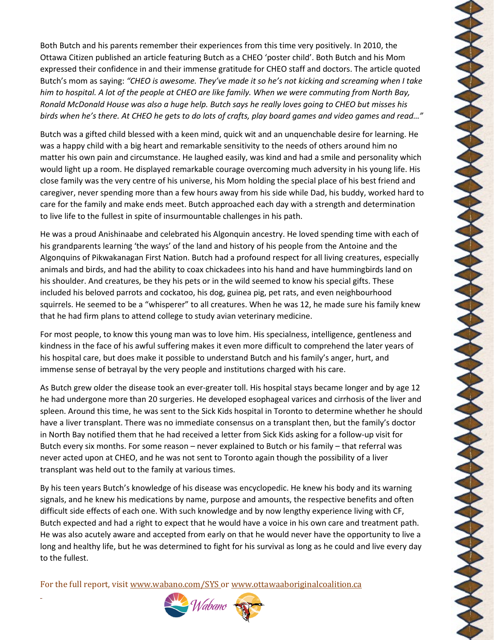Both Butch and his parents remember their experiences from this time very positively. In 2010, the Ottawa Citizen published an article featuring Butch as a CHEO 'poster child'. Both Butch and his Mom expressed their confidence in and their immense gratitude for CHEO staff and doctors. The article quoted Butch's mom as saying: *"CHEO is awesome. They've made it so he's not kicking and screaming when I take him to hospital. A lot of the people at CHEO are like family. When we were commuting from North Bay, Ronald McDonald House was also a huge help. Butch says he really loves going to CHEO but misses his birds when he's there. At CHEO he gets to do lots of crafts, play board games and video games and read…"*

Butch was a gifted child blessed with a keen mind, quick wit and an unquenchable desire for learning. He was a happy child with a big heart and remarkable sensitivity to the needs of others around him no matter his own pain and circumstance. He laughed easily, was kind and had a smile and personality which would light up a room. He displayed remarkable courage overcoming much adversity in his young life. His close family was the very centre of his universe, his Mom holding the special place of his best friend and caregiver, never spending more than a few hours away from his side while Dad, his buddy, worked hard to care for the family and make ends meet. Butch approached each day with a strength and determination to live life to the fullest in spite of insurmountable challenges in his path.

He was a proud Anishinaabe and celebrated his Algonquin ancestry. He loved spending time with each of his grandparents learning 'the ways' of the land and history of his people from the Antoine and the Algonquins of Pikwakanagan First Nation. Butch had a profound respect for all living creatures, especially animals and birds, and had the ability to coax chickadees into his hand and have hummingbirds land on his shoulder. And creatures, be they his pets or in the wild seemed to know his special gifts. These included his beloved parrots and cockatoo, his dog, guinea pig, pet rats, and even neighbourhood squirrels. He seemed to be a "whisperer" to all creatures. When he was 12, he made sure his family knew that he had firm plans to attend college to study avian veterinary medicine.

**MANANAMANANAMAN** 

**MANANA** 

For most people, to know this young man was to love him. His specialness, intelligence, gentleness and kindness in the face of his awful suffering makes it even more difficult to comprehend the later years of his hospital care, but does make it possible to understand Butch and his family's anger, hurt, and immense sense of betrayal by the very people and institutions charged with his care.

As Butch grew older the disease took an ever-greater toll. His hospital stays became longer and by age 12 he had undergone more than 20 surgeries. He developed esophageal varices and cirrhosis of the liver and spleen. Around this time, he was sent to the Sick Kids hospital in Toronto to determine whether he should have a liver transplant. There was no immediate consensus on a transplant then, but the family's doctor in North Bay notified them that he had received a letter from Sick Kids asking for a follow-up visit for Butch every six months. For some reason – never explained to Butch or his family – that referral was never acted upon at CHEO, and he was not sent to Toronto again though the possibility of a liver transplant was held out to the family at various times.

By his teen years Butch's knowledge of his disease was encyclopedic. He knew his body and its warning signals, and he knew his medications by name, purpose and amounts, the respective benefits and often difficult side effects of each one. With such knowledge and by now lengthy experience living with CF, Butch expected and had a right to expect that he would have a voice in his own care and treatment path. He was also acutely aware and accepted from early on that he would never have the opportunity to live a long and healthy life, but he was determined to fight for his survival as long as he could and live every day to the fullest.

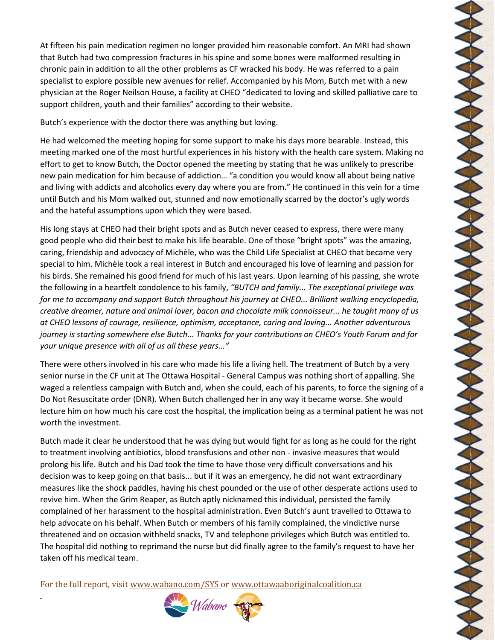At fifteen his pain medication regimen no longer provided him reasonable comfort. An MRI had shown that Butch had two compression fractures in his spine and some bones were malformed resulting in chronic pain in addition to all the other problems as CF wracked his body. He was referred to a pain specialist to explore possible new avenues for relief. Accompanied by his Mom, Butch met with a new physician at the Roger Neilson House, a facility at CHEO "dedicated to loving and skilled palliative care to support children, youth and their families" according to their website.

Butch's experience with the doctor there was anything but loving.

He had welcomed the meeting hoping for some support to make his days more bearable. Instead, this meeting marked one of the most hurtful experiences in his history with the health care system. Making no effort to get to know Butch, the Doctor opened the meeting by stating that he was unlikely to prescribe new pain medication for him because of addiction… "a condition you would know all about being native and living with addicts and alcoholics every day where you are from." He continued in this vein for a time until Butch and his Mom walked out, stunned and now emotionally scarred by the doctor's ugly words and the hateful assumptions upon which they were based.

His long stays at CHEO had their bright spots and as Butch never ceased to express, there were many good people who did their best to make his life bearable. One of those "bright spots" was the amazing, caring, friendship and advocacy of Michèle, who was the Child Life Specialist at CHEO that became very special to him. Michèle took a real interest in Butch and encouraged his love of learning and passion for his birds. She remained his good friend for much of his last years. Upon learning of his passing, she wrote the following in a heartfelt condolence to his family, *"BUTCH and family... The exceptional privilege was for me to accompany and support Butch throughout his journey at CHEO... Brilliant walking encyclopedia, creative dreamer, nature and animal lover, bacon and chocolate milk connoisseur... he taught many of us at CHEO lessons of courage, resilience, optimism, acceptance, caring and loving... Another adventurous journey is starting somewhere else Butch... Thanks for your contributions on CHEO's Youth Forum and for your unique presence with all of us all these years..."*

There were others involved in his care who made his life a living hell. The treatment of Butch by a very senior nurse in the CF unit at The Ottawa Hospital - General Campus was nothing short of appalling. She waged a relentless campaign with Butch and, when she could, each of his parents, to force the signing of a Do Not Resuscitate order (DNR). When Butch challenged her in any way it became worse. She would lecture him on how much his care cost the hospital, the implication being as a terminal patient he was not worth the investment.

Butch made it clear he understood that he was dying but would fight for as long as he could for the right to treatment involving antibiotics, blood transfusions and other non - invasive measures that would prolong his life. Butch and his Dad took the time to have those very difficult conversations and his decision was to keep going on that basis... but if it was an emergency, he did not want extraordinary measures like the shock paddles, having his chest pounded or the use of other desperate actions used to revive him. When the Grim Reaper, as Butch aptly nicknamed this individual, persisted the family complained of her harassment to the hospital administration. Even Butch's aunt travelled to Ottawa to help advocate on his behalf. When Butch or members of his family complained, the vindictive nurse threatened and on occasion withheld snacks, TV and telephone privileges which Butch was entitled to. The hospital did nothing to reprimand the nurse but did finally agree to the family's request to have her taken off his medical team.

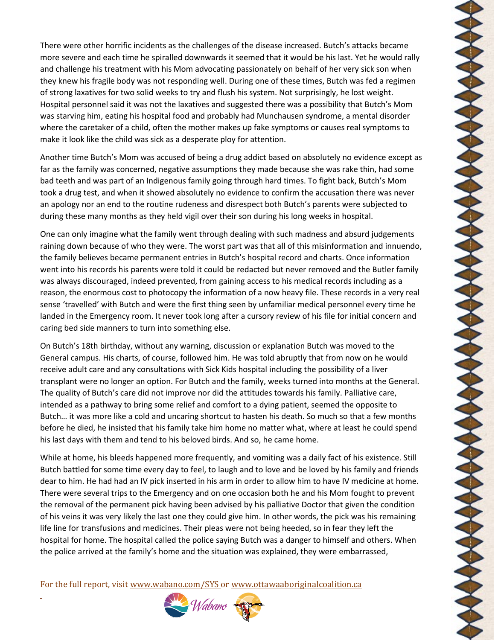There were other horrific incidents as the challenges of the disease increased. Butch's attacks became more severe and each time he spiralled downwards it seemed that it would be his last. Yet he would rally and challenge his treatment with his Mom advocating passionately on behalf of her very sick son when they knew his fragile body was not responding well. During one of these times, Butch was fed a regimen of strong laxatives for two solid weeks to try and flush his system. Not surprisingly, he lost weight. Hospital personnel said it was not the laxatives and suggested there was a possibility that Butch's Mom was starving him, eating his hospital food and probably had Munchausen syndrome, a mental disorder where the caretaker of a child, often the mother makes up fake symptoms or causes real symptoms to make it look like the child was sick as a desperate ploy for attention.

Another time Butch's Mom was accused of being a drug addict based on absolutely no evidence except as far as the family was concerned, negative assumptions they made because she was rake thin, had some bad teeth and was part of an Indigenous family going through hard times. To fight back, Butch's Mom took a drug test, and when it showed absolutely no evidence to confirm the accusation there was never an apology nor an end to the routine rudeness and disrespect both Butch's parents were subjected to during these many months as they held vigil over their son during his long weeks in hospital.

One can only imagine what the family went through dealing with such madness and absurd judgements raining down because of who they were. The worst part was that all of this misinformation and innuendo, the family believes became permanent entries in Butch's hospital record and charts. Once information went into his records his parents were told it could be redacted but never removed and the Butler family was always discouraged, indeed prevented, from gaining access to his medical records including as a reason, the enormous cost to photocopy the information of a now heavy file. These records in a very real sense 'travelled' with Butch and were the first thing seen by unfamiliar medical personnel every time he landed in the Emergency room. It never took long after a cursory review of his file for initial concern and caring bed side manners to turn into something else.

On Butch's 18th birthday, without any warning, discussion or explanation Butch was moved to the General campus. His charts, of course, followed him. He was told abruptly that from now on he would receive adult care and any consultations with Sick Kids hospital including the possibility of a liver transplant were no longer an option. For Butch and the family, weeks turned into months at the General. The quality of Butch's care did not improve nor did the attitudes towards his family. Palliative care, intended as a pathway to bring some relief and comfort to a dying patient, seemed the opposite to Butch… it was more like a cold and uncaring shortcut to hasten his death. So much so that a few months before he died, he insisted that his family take him home no matter what, where at least he could spend his last days with them and tend to his beloved birds. And so, he came home.

**MANASHANANANANANANANAN** 

While at home, his bleeds happened more frequently, and vomiting was a daily fact of his existence. Still Butch battled for some time every day to feel, to laugh and to love and be loved by his family and friends dear to him. He had had an IV pick inserted in his arm in order to allow him to have IV medicine at home. There were several trips to the Emergency and on one occasion both he and his Mom fought to prevent the removal of the permanent pick having been advised by his palliative Doctor that given the condition of his veins it was very likely the last one they could give him. In other words, the pick was his remaining life line for transfusions and medicines. Their pleas were not being heeded, so in fear they left the hospital for home. The hospital called the police saying Butch was a danger to himself and others. When the police arrived at the family's home and the situation was explained, they were embarrassed,

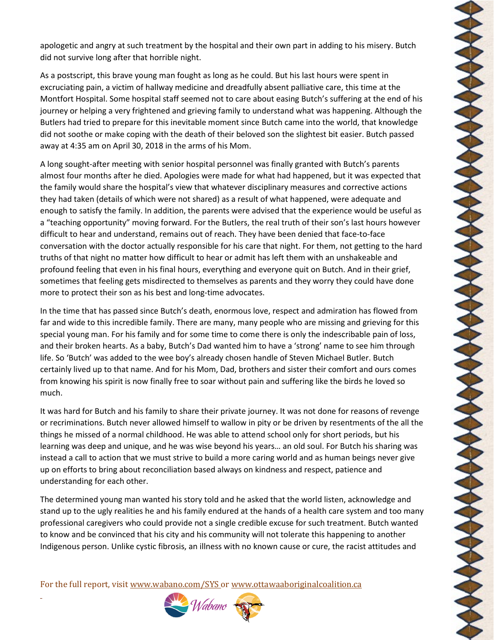apologetic and angry at such treatment by the hospital and their own part in adding to his misery. Butch did not survive long after that horrible night.

As a postscript, this brave young man fought as long as he could. But his last hours were spent in excruciating pain, a victim of hallway medicine and dreadfully absent palliative care, this time at the Montfort Hospital. Some hospital staff seemed not to care about easing Butch's suffering at the end of his journey or helping a very frightened and grieving family to understand what was happening. Although the Butlers had tried to prepare for this inevitable moment since Butch came into the world, that knowledge did not soothe or make coping with the death of their beloved son the slightest bit easier. Butch passed away at 4:35 am on April 30, 2018 in the arms of his Mom.

A long sought-after meeting with senior hospital personnel was finally granted with Butch's parents almost four months after he died. Apologies were made for what had happened, but it was expected that the family would share the hospital's view that whatever disciplinary measures and corrective actions they had taken (details of which were not shared) as a result of what happened, were adequate and enough to satisfy the family. In addition, the parents were advised that the experience would be useful as a "teaching opportunity" moving forward. For the Butlers, the real truth of their son's last hours however difficult to hear and understand, remains out of reach. They have been denied that face-to-face conversation with the doctor actually responsible for his care that night. For them, not getting to the hard truths of that night no matter how difficult to hear or admit has left them with an unshakeable and profound feeling that even in his final hours, everything and everyone quit on Butch. And in their grief, sometimes that feeling gets misdirected to themselves as parents and they worry they could have done more to protect their son as his best and long-time advocates.

In the time that has passed since Butch's death, enormous love, respect and admiration has flowed from far and wide to this incredible family. There are many, many people who are missing and grieving for this special young man. For his family and for some time to come there is only the indescribable pain of loss, and their broken hearts. As a baby, Butch's Dad wanted him to have a 'strong' name to see him through life. So 'Butch' was added to the wee boy's already chosen handle of Steven Michael Butler. Butch certainly lived up to that name. And for his Mom, Dad, brothers and sister their comfort and ours comes from knowing his spirit is now finally free to soar without pain and suffering like the birds he loved so much.

It was hard for Butch and his family to share their private journey. It was not done for reasons of revenge or recriminations. Butch never allowed himself to wallow in pity or be driven by resentments of the all the things he missed of a normal childhood. He was able to attend school only for short periods, but his learning was deep and unique, and he was wise beyond his years… an old soul. For Butch his sharing was instead a call to action that we must strive to build a more caring world and as human beings never give up on efforts to bring about reconciliation based always on kindness and respect, patience and understanding for each other.

The determined young man wanted his story told and he asked that the world listen, acknowledge and stand up to the ugly realities he and his family endured at the hands of a health care system and too many professional caregivers who could provide not a single credible excuse for such treatment. Butch wanted to know and be convinced that his city and his community will not tolerate this happening to another Indigenous person. Unlike cystic fibrosis, an illness with no known cause or cure, the racist attitudes and